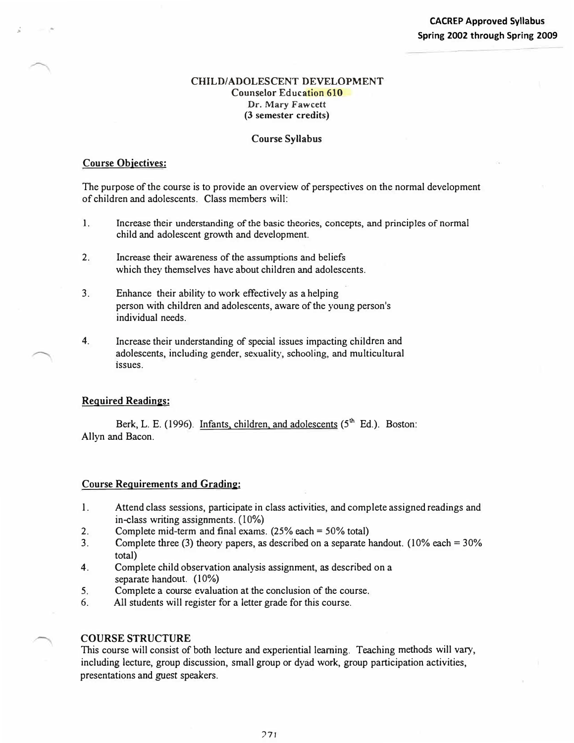## **CHILD/ADOLESCENT DEVELOPMENT Counselor** Education 610 **Dr. Mary Fawcett (3 semester credits)**

## **Course Syllabus**

### **Course Objectives:**

;

The purpose of the course is to provide an overview of perspectives on the normal development of children and adolescents. Class members will:

- 1. Increase their understanding of the basic theories, concepts, and principles of normal child and adolescent growth and development.
- 2. Increase their awareness of the assumptions and beliefs which they themselves have about children and adolescents.
- 3. Enhance their ability to work effectively as a helping person with children and adolescents, aware of the young person's individual needs.
- 4. Increase their understanding of special issues impacting children and adolescents, including gender, sexuality, schooling, and multicultural issues.

## **Required Readings:**

Berk, L. E. (1996). Infants, children, and adolescents  $(5<sup>th</sup> Ed.)$ . Boston: Allyn and Bacon.

#### **Course Requirements and Grading:**

- 1. Attend class sessions, participate in class activities, and complete assigned readings and in-class writing assignments. (10%)
- 2. Complete mid-term and final exams. (25% each= 50% total)
- 3. Complete three (3) theory papers, as described on a separate handout. (10% each= 30% total)
- 4. Complete child observation analysis assignment, *as* described on a separate handout. (10%)
- 5.Complete a course evaluation at the conclusion of the course.
- 6. All students will register for a letter grade for this course.

#### **COURSE STRUCTURE**

This course will consist of both lecture and experiential learning. Teaching methods will vary, including lecture, group discussion, small group or dyad work, group participation activities, presentations and *guest* speakers.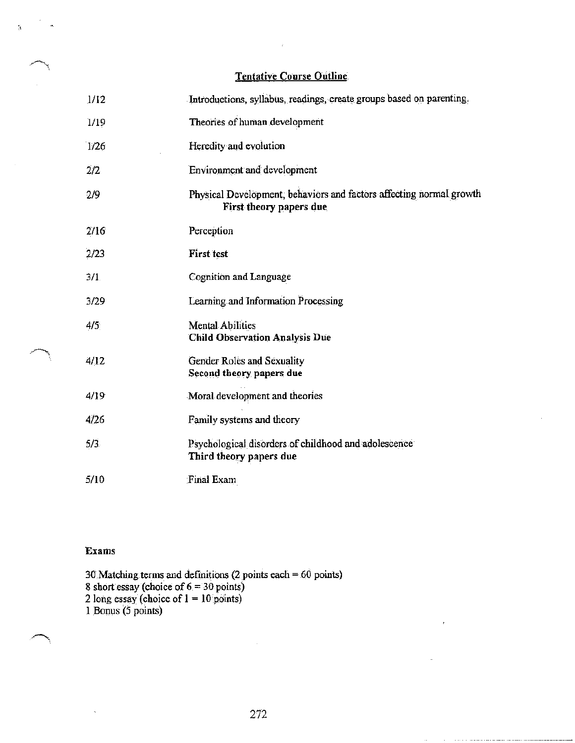| <b>Tentative Course Outline</b> |
|---------------------------------|
|---------------------------------|

| 1/12 | Introductions, syllabus, readings, create groups based on parenting.                           |
|------|------------------------------------------------------------------------------------------------|
| 1/19 | Theories of human development                                                                  |
| 1/26 | Heredity and evolution                                                                         |
| 2/2  | Environment and development                                                                    |
| 2/9  | Physical Development, behaviors and factors affecting normal growth<br>First theory papers due |
| 2716 | Perception                                                                                     |
| 2/23 | <b>First test</b>                                                                              |
| 3/1  | Cognition and Language                                                                         |
| 3/29 | Learning and Information Processing                                                            |
| 4/5  | <b>Mental Abilities</b><br><b>Child Observation Analysis Due</b>                               |
| 4/12 | Gender Roles and Sexuality<br>Second theory papers due                                         |
| 4/19 | Moral development and theories                                                                 |
| 4/26 | Family systems and theory                                                                      |
| 5/3  | Psychological disorders of childhood and adolescence<br>Third theory papers due                |
| 5/10 | <b>Final Exam</b>                                                                              |

## Exams

 $\hat{\mathcal{L}}$ 

30 Matching terms and definitions (2 points each = 60 points) 8 short essay (choice of  $6 = 30$  points)<br>2 long essay (choice of  $1 = 10$  points)<br>1 Bonus (5 points)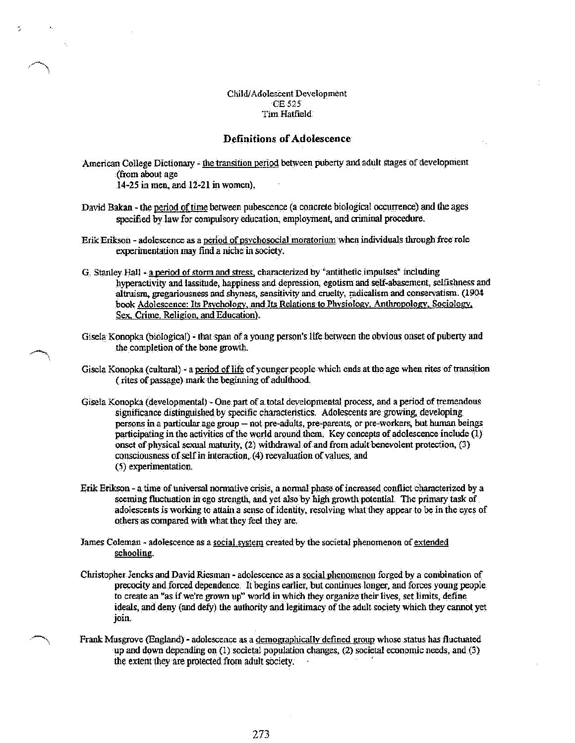Child/Adolescent Development CE 525 Tim Hatfield

### **Definitions of Adolescence**

American College Dictionary - the transition period between puberty and adult stages of development (from about age 14-25 in men, and 12-21 in women).

David Bakan - the period of time between pubescence (a concrete biological occurrence) and the ages specified by law for compulsory education, employment, and criminal procedure.

Erik Erikson - adolescence as a period of psychosocial moratorium when individuals through free role experimentation may find a niche in society.

G. Stanley Hall - a period of storm and stress, characterized by "antithetic impulses" including hyperactivity and lassitude, happiness and depression, egotism and self-abasement, selfishness and altruism, gregariousness and shyness, sensitivity and cruelty, radicalism and conservatism. (1904 book Adolescence: Its Psychology, and Its Relations to Physiology, Anthropology, Sociology, Sex, Crime, Religion, and Education).

Gisela Konopka (biological) - that span of a young person's life between the obvious onset of puberty and the completion of the bone growth.

Gisela Konopka (cultural) - a period of life of younger people which ends at the age when rites of transition (rites of passage) mark the beginning of adulthood.

Gisela Konopka (developmental) - One part of a total developmental process, and a period of tremendous significance distinguished by specific characteristics. Adolescents are growing, developing persons in a particular age group -- not pre-adults, pre-parents, or pre-workers, but human beings participating in the activities of the world around them. Key concepts of adolescence include (1) onset of physical sexual maturity, (2) withdrawal of and from adult benevolent protection, (3) consciousness of self in interaction, (4) reevaluation of values, and (5) experimentation.

Erik Erikson - a time of universal normative crisis, a normal phase of increased conflict characterized by a seeming fluctuation in ego strength, and yet also by high growth potential. The primary task of adolescents is working to attain a sense of identity, resolving what they appear to be in the eyes of others as compared with what they feel they are.

James Coleman - adolescence as a social system created by the societal phenomenon of extended schooling.

Christopher Jencks and David Riesman - adolescence as a social phenomenon forged by a combination of precocity and forced dependence. It begins earlier, but continues longer, and forces young people to create an "as if we're grown up" world in which they organize their lives, set limits, define ideals, and deny (and defy) the authority and legitimacy of the adult society which they cannot yet join.

Frank Musgrove (England) - adolescence as a demographically defined group whose status has fluctuated up and down depending on (1) societal population changes, (2) societal economic needs, and (3) the extent they are protected from adult society.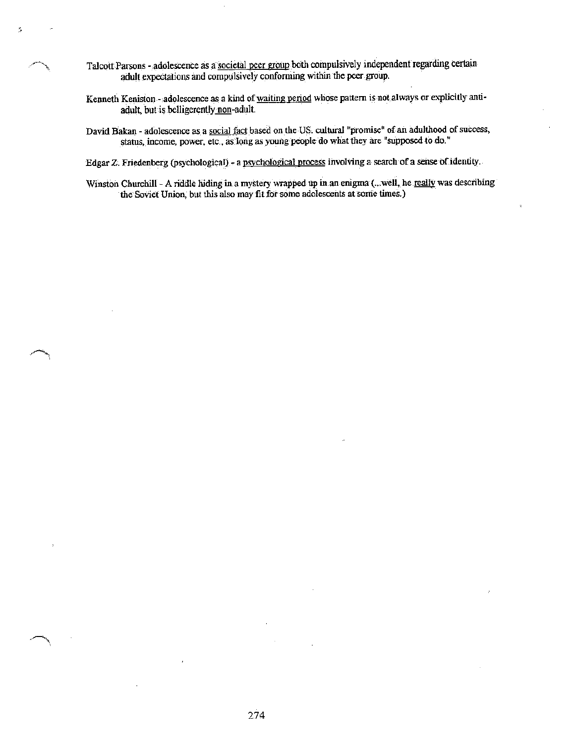- Talcott Parsons adolescence as a societal peer group both compulsively independent regarding certain adult expectations and compulsively conforming within the peer group.
- Kenneth Kenision adolescence as a kind of waiting period whose pattern is not always or explicitly antiadult, but is belligerently non-adult.
- David Bakan adolescence as a social fact based on the US. cultural "promise" of an adulthood of success, status, income, power, etc., as long as young people do what they are "supposed to do."

Edgar Z. Friedenberg (psychological) - a psychological process involving a search of a sense of identity.

Winston Churchill - A riddle hiding in a mystery wrapped up in an enigma (...well, he really was describing the Soviet Union, but this also may fit for some adolescents at some times.)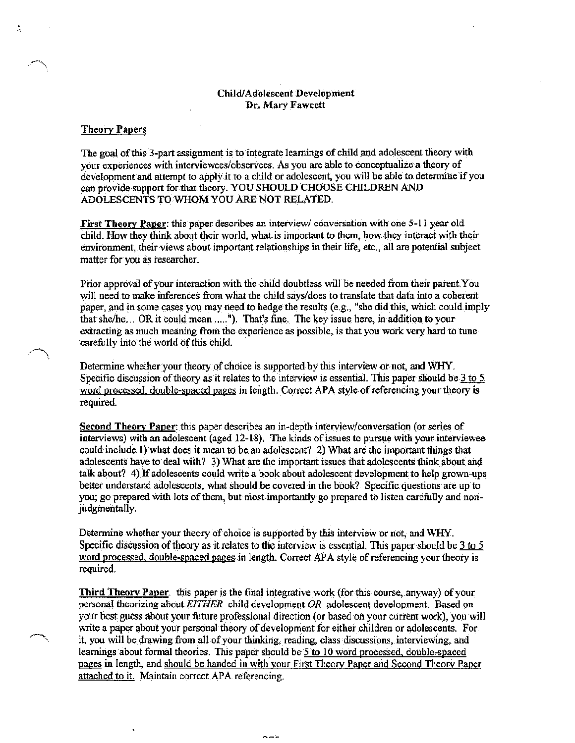### Child/Adolescent Development Dr. Mary Fawcett

### **Theory Papers**

ã

The goal of this 3-part assignment is to integrate learnings of child and adolescent theory with your experiences with interviewees/observees. As you are able to conceptualize a theory of development and attempt to apply it to a child or adolescent, you will be able to determine if you can provide support for that theory. YOU SHOULD CHOOSE CHILDREN AND ADOLESCENTS TO WHOM YOU ARE NOT RELATED.

First Theory Paper: this paper describes an interview/ conversation with one 5-11 year old child. How they think about their world, what is important to them, how they interact with their environment, their views about important relationships in their life, etc., all are potential subject matter for you as researcher.

Prior approval of your interaction with the child doubtless will be needed from their parent. You will need to make inferences from what the child says/does to translate that data into a coherent paper, and in some cases you may need to hedge the results (e.g., "she did this, which could imply that she/he... OR it could mean ....."). That's fine. The key issue here, in addition to your extracting as much meaning from the experience as possible, is that you work very hard to tune carefully into the world of this child.

Determine whether your theory of choice is supported by this interview or not, and WHY. Specific discussion of theory as it relates to the interview is essential. This paper should be  $3 \times 5$ word processed, double-spaced pages in length. Correct APA style of referencing your theory is required.

**Second Theory Paper:** this paper describes an in-depth interview/conversation (or series of interviews) with an adolescent (aged 12-18). The kinds of issues to pursue with your interviewee could include 1) what does it mean to be an adolescent? 2) What are the important things that adolescents have to deal with? 3) What are the important issues that adolescents think about and talk about? 4) If adolescents could write a book about adolescent development to help grown-ups better understand adolescents, what should be covered in the book? Specific questions are up to you; go prepared with lots of them, but most importantly go prepared to listen carefully and nonjudgmentally.

Determine whether your theory of choice is supported by this interview or not, and WHY. Specific discussion of theory as it relates to the interview is essential. This paper should be  $3 \text{ to } 5$ word processed, double-spaced pages in length. Correct APA style of referencing your theory is required.

**Third Theory Paper.** this paper is the final integrative work (for this course, anyway) of your personal theorizing about EITHER child development OR adolescent development. Based on your best guess about your future professional direction (or based on your current work), you will write a paper about your personal theory of development for either children or adolescents. For it, you will be drawing from all of your thinking, reading, class discussions, interviewing, and learnings about formal theories. This paper should be 5 to 10 word processed, double-spaced pages in length, and should be handed in with your First Theory Paper and Second Theory Paper attached to it. Maintain correct APA referencing.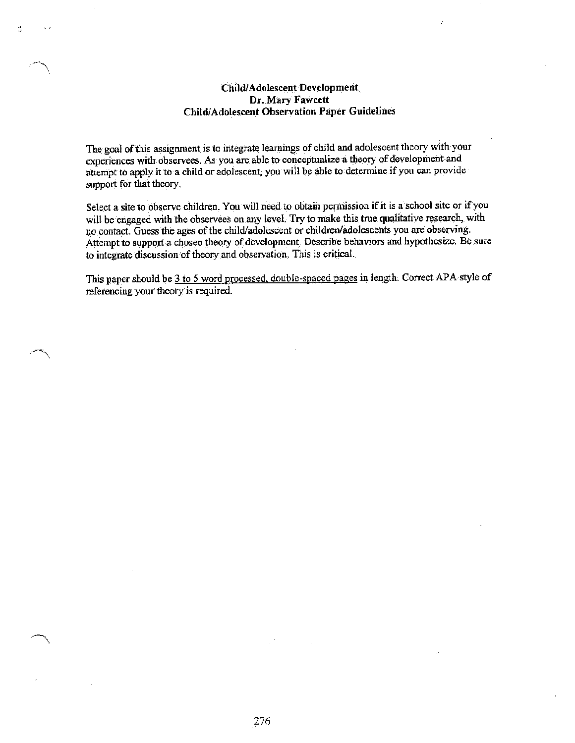# Child/Adolescent Development Dr. Mary Fawcett **Child/Adolescent Observation Paper Guidelines**

Ã,

The goal of this assignment is to integrate learnings of child and adolescent theory with your experiences with observees. As you are able to conceptualize a theory of development and attempt to apply it to a child or adolescent, you will be able to determine if you can provide support for that theory.

Select a site to observe children. You will need to obtain permission if it is a school site or if you will be engaged with the observees on any level. Try to make this true qualitative research, with no contact. Guess the ages of the child/adolescent or children/adolescents you are observing. Attempt to support a chosen theory of development. Describe behaviors and hypothesize. Be sure to integrate discussion of theory and observation. This is critical.

This paper should be 3 to 5 word processed, double-spaced pages in length. Correct APA style of referencing your theory is required.